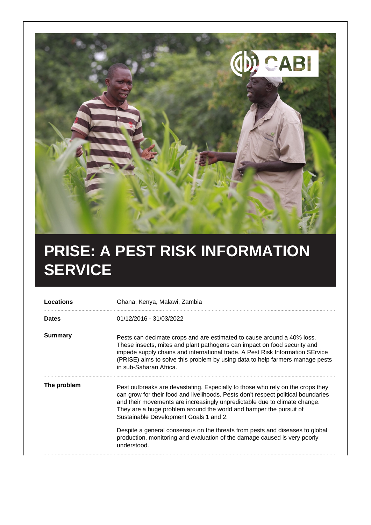

## **PRISE: A PEST RISK INFORMATION SERVICE**

| Locations      | Ghana, Kenya, Malawi, Zambia                                                                                                                                                                                                                                                                                                                                     |
|----------------|------------------------------------------------------------------------------------------------------------------------------------------------------------------------------------------------------------------------------------------------------------------------------------------------------------------------------------------------------------------|
| <b>Dates</b>   | 01/12/2016 - 31/03/2022                                                                                                                                                                                                                                                                                                                                          |
| <b>Summary</b> | Pests can decimate crops and are estimated to cause around a 40% loss.<br>These insects, mites and plant pathogens can impact on food security and<br>impede supply chains and international trade. A Pest Risk Information SErvice<br>(PRISE) aims to solve this problem by using data to help farmers manage pests<br>in sub-Saharan Africa.                   |
| The problem    | Pest outbreaks are devastating. Especially to those who rely on the crops they<br>can grow for their food and livelihoods. Pests don't respect political boundaries<br>and their movements are increasingly unpredictable due to climate change.<br>They are a huge problem around the world and hamper the pursuit of<br>Sustainable Development Goals 1 and 2. |
|                | Despite a general consensus on the threats from pests and diseases to global<br>production, monitoring and evaluation of the damage caused is very poorly<br>understood.                                                                                                                                                                                         |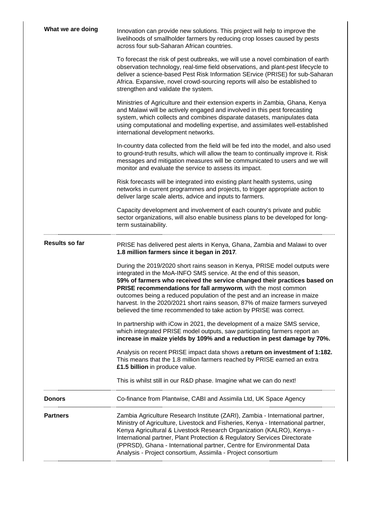| What we are doing | Innovation can provide new solutions. This project will help to improve the<br>livelihoods of smallholder farmers by reducing crop losses caused by pests<br>across four sub-Saharan African countries.                                                                                                                                                                                                                                                                                                                        |
|-------------------|--------------------------------------------------------------------------------------------------------------------------------------------------------------------------------------------------------------------------------------------------------------------------------------------------------------------------------------------------------------------------------------------------------------------------------------------------------------------------------------------------------------------------------|
|                   | To forecast the risk of pest outbreaks, we will use a novel combination of earth<br>observation technology, real-time field observations, and plant-pest lifecycle to<br>deliver a science-based Pest Risk Information SErvice (PRISE) for sub-Saharan<br>Africa. Expansive, novel crowd-sourcing reports will also be established to<br>strengthen and validate the system.                                                                                                                                                   |
|                   | Ministries of Agriculture and their extension experts in Zambia, Ghana, Kenya<br>and Malawi will be actively engaged and involved in this pest forecasting<br>system, which collects and combines disparate datasets, manipulates data<br>using computational and modelling expertise, and assimilates well-established<br>international development networks.                                                                                                                                                                 |
|                   | In-country data collected from the field will be fed into the model, and also used<br>to ground-truth results, which will allow the team to continually improve it. Risk<br>messages and mitigation measures will be communicated to users and we will<br>monitor and evaluate the service to assess its impact.                                                                                                                                                                                                               |
|                   | Risk forecasts will be integrated into existing plant health systems, using<br>networks in current programmes and projects, to trigger appropriate action to<br>deliver large scale alerts, advice and inputs to farmers.                                                                                                                                                                                                                                                                                                      |
|                   | Capacity development and involvement of each country's private and public<br>sector organizations, will also enable business plans to be developed for long-<br>term sustainability.                                                                                                                                                                                                                                                                                                                                           |
| Results so far    | PRISE has delivered pest alerts in Kenya, Ghana, Zambia and Malawi to over<br>1.8 million farmers since it began in 2017.                                                                                                                                                                                                                                                                                                                                                                                                      |
|                   | During the 2019/2020 short rains season in Kenya, PRISE model outputs were<br>integrated in the MoA-INFO SMS service. At the end of this season,<br>59% of farmers who received the service changed their practices based on<br>PRISE recommendations for fall armyworm, with the most common<br>outcomes being a reduced population of the pest and an increase in maize<br>harvest. In the 2020/2021 short rains season, 87% of maize farmers surveyed<br>believed the time recommended to take action by PRISE was correct. |
|                   | In partnership with iCow in 2021, the development of a maize SMS service,<br>which integrated PRISE model outputs, saw participating farmers report an<br>increase in maize yields by 109% and a reduction in pest damage by 70%.                                                                                                                                                                                                                                                                                              |
|                   | Analysis on recent PRISE impact data shows a return on investment of 1:182.<br>This means that the 1.8 million farmers reached by PRISE earned an extra<br>£1.5 billion in produce value.                                                                                                                                                                                                                                                                                                                                      |
|                   | This is whilst still in our R&D phase. Imagine what we can do next!                                                                                                                                                                                                                                                                                                                                                                                                                                                            |
| <b>Donors</b>     | Co-finance from Plantwise, CABI and Assimila Ltd, UK Space Agency                                                                                                                                                                                                                                                                                                                                                                                                                                                              |
| <b>Partners</b>   | Zambia Agriculture Research Institute (ZARI), Zambia - International partner,<br>Ministry of Agriculture, Livestock and Fisheries, Kenya - International partner,<br>Kenya Agricultural & Livestock Research Organization (KALRO), Kenya -<br>International partner, Plant Protection & Regulatory Services Directorate<br>(PPRSD), Ghana - International partner, Centre for Environmental Data<br>Analysis - Project consortium, Assimila - Project consortium                                                               |